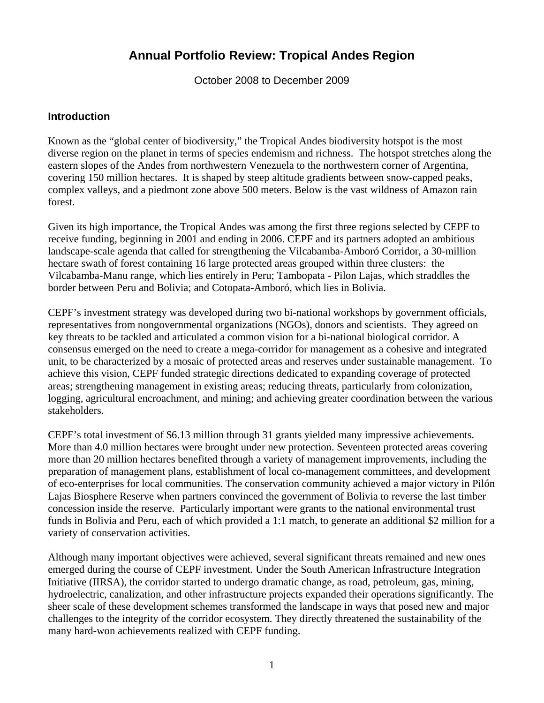# **Annual Portfolio Review: Tropical Andes Region**

October 2008 to December 2009

#### **Introduction**

Known as the "global center of biodiversity," the Tropical Andes biodiversity hotspot is the most diverse region on the planet in terms of species endemism and richness. The hotspot stretches along the eastern slopes of the Andes from northwestern Venezuela to the northwestern corner of Argentina, covering 150 million hectares. It is shaped by steep altitude gradients between snow-capped peaks, complex valleys, and a piedmont zone above 500 meters. Below is the vast wildness of Amazon rain forest.

Given its high importance, the Tropical Andes was among the first three regions selected by CEPF to receive funding, beginning in 2001 and ending in 2006. CEPF and its partners adopted an ambitious landscape-scale agenda that called for strengthening the Vilcabamba-Amboró Corridor, a 30-million hectare swath of forest containing 16 large protected areas grouped within three clusters: the Vilcabamba-Manu range, which lies entirely in Peru; Tambopata - Pilon Lajas, which straddles the border between Peru and Bolivia; and Cotopata-Amboró, which lies in Bolivia.

CEPF's investment strategy was developed during two bi-national workshops by government officials, representatives from nongovernmental organizations (NGOs), donors and scientists. They agreed on key threats to be tackled and articulated a common vision for a bi-national biological corridor. A consensus emerged on the need to create a mega-corridor for management as a cohesive and integrated unit, to be characterized by a mosaic of protected areas and reserves under sustainable management. To achieve this vision, CEPF funded strategic directions dedicated to expanding coverage of protected areas; strengthening management in existing areas; reducing threats, particularly from colonization, logging, agricultural encroachment, and mining; and achieving greater coordination between the various stakeholders.

CEPF's total investment of \$6.13 million through 31 grants yielded many impressive achievements. More than 4.0 million hectares were brought under new protection. Seventeen protected areas covering more than 20 million hectares benefited through a variety of management improvements, including the preparation of management plans, establishment of local co-management committees, and development of eco-enterprises for local communities. The conservation community achieved a major victory in Pilón Lajas Biosphere Reserve when partners convinced the government of Bolivia to reverse the last timber concession inside the reserve. Particularly important were grants to the national environmental trust funds in Bolivia and Peru, each of which provided a 1:1 match, to generate an additional \$2 million for a variety of conservation activities.

Although many important objectives were achieved, several significant threats remained and new ones emerged during the course of CEPF investment. Under the South American Infrastructure Integration Initiative (IIRSA), the corridor started to undergo dramatic change, as road, petroleum, gas, mining, hydroelectric, canalization, and other infrastructure projects expanded their operations significantly. The sheer scale of these development schemes transformed the landscape in ways that posed new and major challenges to the integrity of the corridor ecosystem. They directly threatened the sustainability of the many hard-won achievements realized with CEPF funding.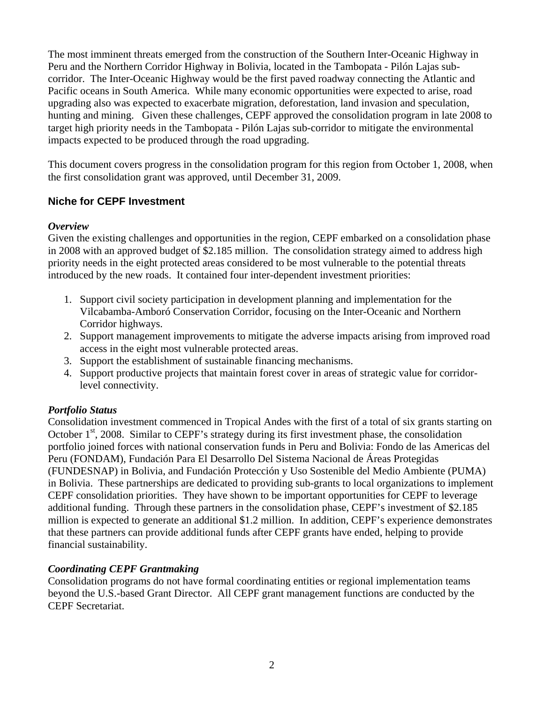The most imminent threats emerged from the construction of the Southern Inter-Oceanic Highway in Peru and the Northern Corridor Highway in Bolivia, located in the Tambopata - Pilón Lajas subcorridor. The Inter-Oceanic Highway would be the first paved roadway connecting the Atlantic and Pacific oceans in South America. While many economic opportunities were expected to arise, road upgrading also was expected to exacerbate migration, deforestation, land invasion and speculation, hunting and mining. Given these challenges, CEPF approved the consolidation program in late 2008 to target high priority needs in the Tambopata - Pilón Lajas sub-corridor to mitigate the environmental impacts expected to be produced through the road upgrading.

This document covers progress in the consolidation program for this region from October 1, 2008, when the first consolidation grant was approved, until December 31, 2009.

# **Niche for CEPF Investment**

#### *Overview*

Given the existing challenges and opportunities in the region, CEPF embarked on a consolidation phase in 2008 with an approved budget of \$2.185 million. The consolidation strategy aimed to address high priority needs in the eight protected areas considered to be most vulnerable to the potential threats introduced by the new roads. It contained four inter-dependent investment priorities:

- 1. Support civil society participation in development planning and implementation for the Vilcabamba-Amboró Conservation Corridor, focusing on the Inter-Oceanic and Northern Corridor highways.
- 2. Support management improvements to mitigate the adverse impacts arising from improved road access in the eight most vulnerable protected areas.
- 3. Support the establishment of sustainable financing mechanisms.
- 4. Support productive projects that maintain forest cover in areas of strategic value for corridorlevel connectivity.

#### *Portfolio Status*

Consolidation investment commenced in Tropical Andes with the first of a total of six grants starting on October  $1<sup>st</sup>$ , 2008. Similar to CEPF's strategy during its first investment phase, the consolidation portfolio joined forces with national conservation funds in Peru and Bolivia: Fondo de las Americas del Peru (FONDAM), Fundación Para El Desarrollo Del Sistema Nacional de Áreas Protegidas (FUNDESNAP) in Bolivia, and Fundación Protección y Uso Sostenible del Medio Ambiente (PUMA) in Bolivia. These partnerships are dedicated to providing sub-grants to local organizations to implement CEPF consolidation priorities. They have shown to be important opportunities for CEPF to leverage additional funding. Through these partners in the consolidation phase, CEPF's investment of \$2.185 million is expected to generate an additional \$1.2 million. In addition, CEPF's experience demonstrates that these partners can provide additional funds after CEPF grants have ended, helping to provide financial sustainability.

# *Coordinating CEPF Grantmaking*

Consolidation programs do not have formal coordinating entities or regional implementation teams beyond the U.S.-based Grant Director. All CEPF grant management functions are conducted by the CEPF Secretariat.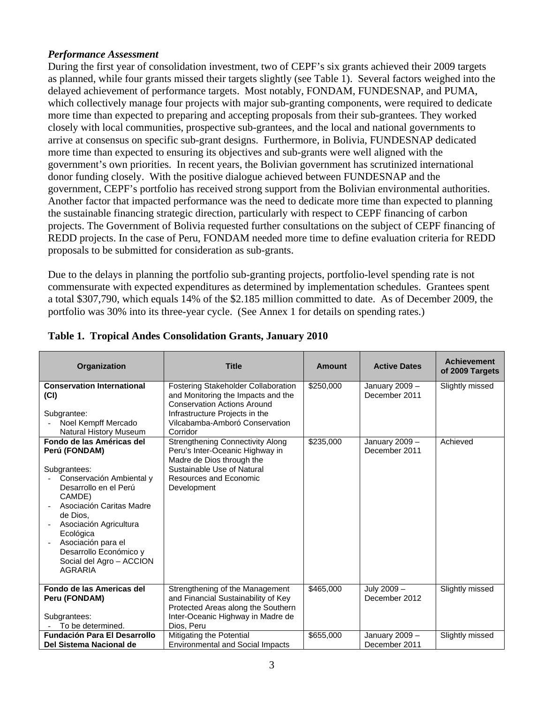#### *Performance Assessment*

During the first year of consolidation investment, two of CEPF's six grants achieved their 2009 targets as planned, while four grants missed their targets slightly (see Table 1). Several factors weighed into the delayed achievement of performance targets. Most notably, FONDAM, FUNDESNAP, and PUMA, which collectively manage four projects with major sub-granting components, were required to dedicate more time than expected to preparing and accepting proposals from their sub-grantees. They worked closely with local communities, prospective sub-grantees, and the local and national governments to arrive at consensus on specific sub-grant designs. Furthermore, in Bolivia, FUNDESNAP dedicated more time than expected to ensuring its objectives and sub-grants were well aligned with the government's own priorities. In recent years, the Bolivian government has scrutinized international donor funding closely. With the positive dialogue achieved between FUNDESNAP and the government, CEPF's portfolio has received strong support from the Bolivian environmental authorities. Another factor that impacted performance was the need to dedicate more time than expected to planning the sustainable financing strategic direction, particularly with respect to CEPF financing of carbon projects. The Government of Bolivia requested further consultations on the subject of CEPF financing of REDD projects. In the case of Peru, FONDAM needed more time to define evaluation criteria for REDD proposals to be submitted for consideration as sub-grants.

Due to the delays in planning the portfolio sub-granting projects, portfolio-level spending rate is not commensurate with expected expenditures as determined by implementation schedules. Grantees spent a total \$307,790, which equals 14% of the \$2.185 million committed to date. As of December 2009, the portfolio was 30% into its three-year cycle. (See Annex 1 for details on spending rates.)

| Organization                                                                                                                                                                                                                                                                                           | <b>Title</b>                                                                                                                                                                                    | Amount    | <b>Active Dates</b>             | <b>Achievement</b><br>of 2009 Targets |
|--------------------------------------------------------------------------------------------------------------------------------------------------------------------------------------------------------------------------------------------------------------------------------------------------------|-------------------------------------------------------------------------------------------------------------------------------------------------------------------------------------------------|-----------|---------------------------------|---------------------------------------|
| <b>Conservation International</b><br>(CI)<br>Subgrantee:<br>Noel Kempff Mercado<br>Natural History Museum                                                                                                                                                                                              | Fostering Stakeholder Collaboration<br>and Monitoring the Impacts and the<br><b>Conservation Actions Around</b><br>Infrastructure Projects in the<br>Vilcabamba-Amboró Conservation<br>Corridor | \$250,000 | January 2009 -<br>December 2011 | Slightly missed                       |
| Fondo de las Américas del<br>Perú (FONDAM)<br>Subgrantees:<br>Conservación Ambiental y<br>Desarrollo en el Perú<br>CAMDE)<br>Asociación Caritas Madre<br>de Dios.<br>Asociación Agricultura<br>Ecológica<br>Asociación para el<br>Desarrollo Económico y<br>Social del Agro - ACCION<br><b>AGRARIA</b> | <b>Strengthening Connectivity Along</b><br>Peru's Inter-Oceanic Highway in<br>Madre de Dios through the<br>Sustainable Use of Natural<br>Resources and Economic<br>Development                  | \$235,000 | January 2009 -<br>December 2011 | Achieved                              |
| Fondo de las Americas del<br>Peru (FONDAM)<br>Subgrantees:<br>To be determined.                                                                                                                                                                                                                        | Strengthening of the Management<br>and Financial Sustainability of Key<br>Protected Areas along the Southern<br>Inter-Oceanic Highway in Madre de<br>Dios, Peru                                 | \$465,000 | July 2009 -<br>December 2012    | Slightly missed                       |
| <b>Fundación Para El Desarrollo</b><br>Del Sistema Nacional de                                                                                                                                                                                                                                         | Mitigating the Potential<br><b>Environmental and Social Impacts</b>                                                                                                                             | \$655,000 | January 2009 -<br>December 2011 | Slightly missed                       |

# **Table 1. Tropical Andes Consolidation Grants, January 2010**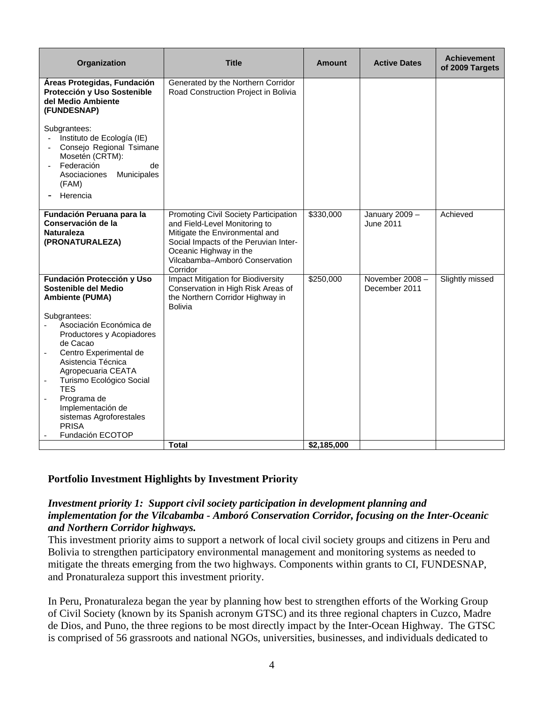| Organization                                                                                                                                                                                                                                                                                                                                                                                                                                | <b>Title</b>                                                                                                                                                                                                              | Amount                   | <b>Active Dates</b>              | <b>Achievement</b><br>of 2009 Targets |
|---------------------------------------------------------------------------------------------------------------------------------------------------------------------------------------------------------------------------------------------------------------------------------------------------------------------------------------------------------------------------------------------------------------------------------------------|---------------------------------------------------------------------------------------------------------------------------------------------------------------------------------------------------------------------------|--------------------------|----------------------------------|---------------------------------------|
| Áreas Protegidas, Fundación<br>Protección y Uso Sostenible<br>del Medio Ambiente<br>(FUNDESNAP)<br>Subgrantees:<br>Instituto de Ecología (IE)<br>Consejo Regional Tsimane<br>Mosetén (CRTM):<br>Federación<br>de<br>Asociaciones<br>Municipales<br>(FAM)<br>Herencia                                                                                                                                                                        | Generated by the Northern Corridor<br>Road Construction Project in Bolivia                                                                                                                                                |                          |                                  |                                       |
| Fundación Peruana para la<br>Conservación de la<br><b>Naturaleza</b><br>(PRONATURALEZA)                                                                                                                                                                                                                                                                                                                                                     | Promoting Civil Society Participation<br>and Field-Level Monitoring to<br>Mitigate the Environmental and<br>Social Impacts of the Peruvian Inter-<br>Oceanic Highway in the<br>Vilcabamba-Amboró Conservation<br>Corridor | \$330,000                | January 2009 -<br>June 2011      | Achieved                              |
| Fundación Protección y Uso<br>Sostenible del Medio<br><b>Ambiente (PUMA)</b><br>Subgrantees:<br>Asociación Económica de<br>Productores y Acopiadores<br>de Cacao<br>Centro Experimental de<br>Asistencia Técnica<br>Agropecuaria CEATA<br>Turismo Ecológico Social<br>$\overline{\phantom{a}}$<br><b>TES</b><br>Programa de<br>$\overline{\phantom{a}}$<br>Implementación de<br>sistemas Agroforestales<br><b>PRISA</b><br>Fundación ECOTOP | Impact Mitigation for Biodiversity<br>Conservation in High Risk Areas of<br>the Northern Corridor Highway in<br>Bolivia<br>Total                                                                                          | \$250,000<br>\$2,185,000 | November 2008 -<br>December 2011 | Slightly missed                       |

#### **Portfolio Investment Highlights by Investment Priority**

#### *Investment priority 1: Support civil society participation in development planning and implementation for the Vilcabamba - Amboró Conservation Corridor, focusing on the Inter-Oceanic and Northern Corridor highways.*

This investment priority aims to support a network of local civil society groups and citizens in Peru and Bolivia to strengthen participatory environmental management and monitoring systems as needed to mitigate the threats emerging from the two highways. Components within grants to CI, FUNDESNAP, and Pronaturaleza support this investment priority.

In Peru, Pronaturaleza began the year by planning how best to strengthen efforts of the Working Group of Civil Society (known by its Spanish acronym GTSC) and its three regional chapters in Cuzco, Madre de Dios, and Puno, the three regions to be most directly impact by the Inter-Ocean Highway. The GTSC is comprised of 56 grassroots and national NGOs, universities, businesses, and individuals dedicated to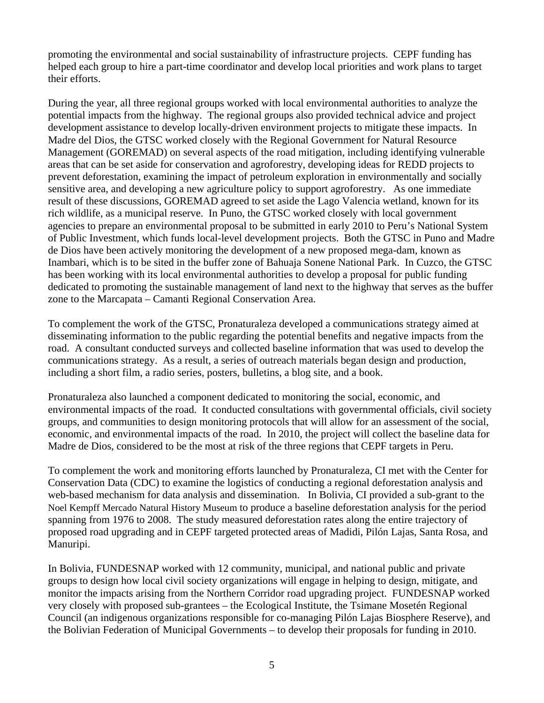promoting the environmental and social sustainability of infrastructure projects. CEPF funding has helped each group to hire a part-time coordinator and develop local priorities and work plans to target their efforts.

During the year, all three regional groups worked with local environmental authorities to analyze the potential impacts from the highway. The regional groups also provided technical advice and project development assistance to develop locally-driven environment projects to mitigate these impacts. In Madre del Dios, the GTSC worked closely with the Regional Government for Natural Resource Management (GOREMAD) on several aspects of the road mitigation, including identifying vulnerable areas that can be set aside for conservation and agroforestry, developing ideas for REDD projects to prevent deforestation, examining the impact of petroleum exploration in environmentally and socially sensitive area, and developing a new agriculture policy to support agroforestry. As one immediate result of these discussions, GOREMAD agreed to set aside the Lago Valencia wetland, known for its rich wildlife, as a municipal reserve. In Puno, the GTSC worked closely with local government agencies to prepare an environmental proposal to be submitted in early 2010 to Peru's National System of Public Investment, which funds local-level development projects. Both the GTSC in Puno and Madre de Dios have been actively monitoring the development of a new proposed mega-dam, known as Inambari, which is to be sited in the buffer zone of Bahuaja Sonene National Park. In Cuzco, the GTSC has been working with its local environmental authorities to develop a proposal for public funding dedicated to promoting the sustainable management of land next to the highway that serves as the buffer zone to the Marcapata – Camanti Regional Conservation Area.

To complement the work of the GTSC, Pronaturaleza developed a communications strategy aimed at disseminating information to the public regarding the potential benefits and negative impacts from the road. A consultant conducted surveys and collected baseline information that was used to develop the communications strategy. As a result, a series of outreach materials began design and production, including a short film, a radio series, posters, bulletins, a blog site, and a book.

Pronaturaleza also launched a component dedicated to monitoring the social, economic, and environmental impacts of the road. It conducted consultations with governmental officials, civil society groups, and communities to design monitoring protocols that will allow for an assessment of the social, economic, and environmental impacts of the road. In 2010, the project will collect the baseline data for Madre de Dios, considered to be the most at risk of the three regions that CEPF targets in Peru.

To complement the work and monitoring efforts launched by Pronaturaleza, CI met with the Center for Conservation Data (CDC) to examine the logistics of conducting a regional deforestation analysis and web-based mechanism for data analysis and dissemination. In Bolivia, CI provided a sub-grant to the Noel Kempff Mercado Natural History Museum to produce a baseline deforestation analysis for the period spanning from 1976 to 2008. The study measured deforestation rates along the entire trajectory of proposed road upgrading and in CEPF targeted protected areas of Madidi, Pilón Lajas, Santa Rosa, and Manuripi.

In Bolivia, FUNDESNAP worked with 12 community, municipal, and national public and private groups to design how local civil society organizations will engage in helping to design, mitigate, and monitor the impacts arising from the Northern Corridor road upgrading project. FUNDESNAP worked very closely with proposed sub-grantees – the Ecological Institute, the Tsimane Mosetén Regional Council (an indigenous organizations responsible for co-managing Pilón Lajas Biosphere Reserve), and the Bolivian Federation of Municipal Governments – to develop their proposals for funding in 2010.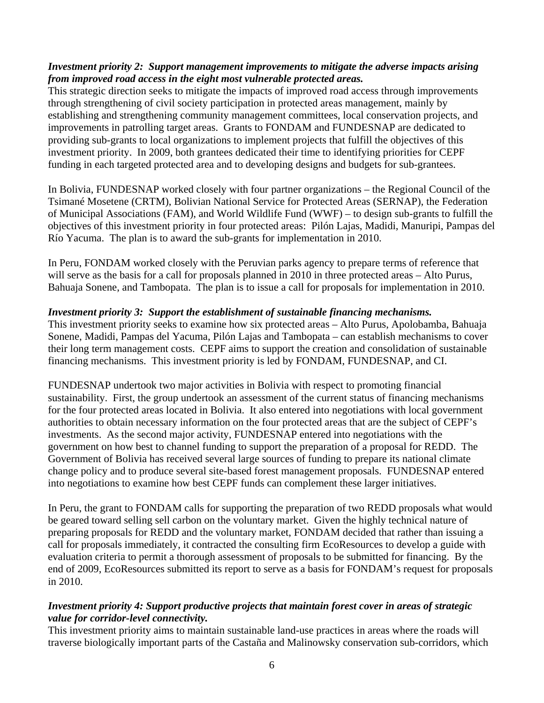#### *Investment priority 2: Support management improvements to mitigate the adverse impacts arising from improved road access in the eight most vulnerable protected areas.*

This strategic direction seeks to mitigate the impacts of improved road access through improvements through strengthening of civil society participation in protected areas management, mainly by establishing and strengthening community management committees, local conservation projects, and improvements in patrolling target areas. Grants to FONDAM and FUNDESNAP are dedicated to providing sub-grants to local organizations to implement projects that fulfill the objectives of this investment priority. In 2009, both grantees dedicated their time to identifying priorities for CEPF funding in each targeted protected area and to developing designs and budgets for sub-grantees.

In Bolivia, FUNDESNAP worked closely with four partner organizations – the Regional Council of the Tsimané Mosetene (CRTM), Bolivian National Service for Protected Areas (SERNAP), the Federation of Municipal Associations (FAM), and World Wildlife Fund (WWF) – to design sub-grants to fulfill the objectives of this investment priority in four protected areas: Pilón Lajas, Madidi, Manuripi, Pampas del Río Yacuma. The plan is to award the sub-grants for implementation in 2010.

In Peru, FONDAM worked closely with the Peruvian parks agency to prepare terms of reference that will serve as the basis for a call for proposals planned in 2010 in three protected areas – Alto Purus, Bahuaja Sonene, and Tambopata. The plan is to issue a call for proposals for implementation in 2010.

#### *Investment priority 3: Support the establishment of sustainable financing mechanisms.*

This investment priority seeks to examine how six protected areas – Alto Purus, Apolobamba, Bahuaja Sonene, Madidi, Pampas del Yacuma, Pilón Lajas and Tambopata – can establish mechanisms to cover their long term management costs. CEPF aims to support the creation and consolidation of sustainable financing mechanisms. This investment priority is led by FONDAM, FUNDESNAP, and CI.

FUNDESNAP undertook two major activities in Bolivia with respect to promoting financial sustainability. First, the group undertook an assessment of the current status of financing mechanisms for the four protected areas located in Bolivia. It also entered into negotiations with local government authorities to obtain necessary information on the four protected areas that are the subject of CEPF's investments. As the second major activity, FUNDESNAP entered into negotiations with the government on how best to channel funding to support the preparation of a proposal for REDD. The Government of Bolivia has received several large sources of funding to prepare its national climate change policy and to produce several site-based forest management proposals. FUNDESNAP entered into negotiations to examine how best CEPF funds can complement these larger initiatives.

In Peru, the grant to FONDAM calls for supporting the preparation of two REDD proposals what would be geared toward selling sell carbon on the voluntary market. Given the highly technical nature of preparing proposals for REDD and the voluntary market, FONDAM decided that rather than issuing a call for proposals immediately, it contracted the consulting firm EcoResources to develop a guide with evaluation criteria to permit a thorough assessment of proposals to be submitted for financing. By the end of 2009, EcoResources submitted its report to serve as a basis for FONDAM's request for proposals in 2010.

#### *Investment priority 4: Support productive projects that maintain forest cover in areas of strategic value for corridor-level connectivity.*

This investment priority aims to maintain sustainable land-use practices in areas where the roads will traverse biologically important parts of the Castaña and Malinowsky conservation sub-corridors, which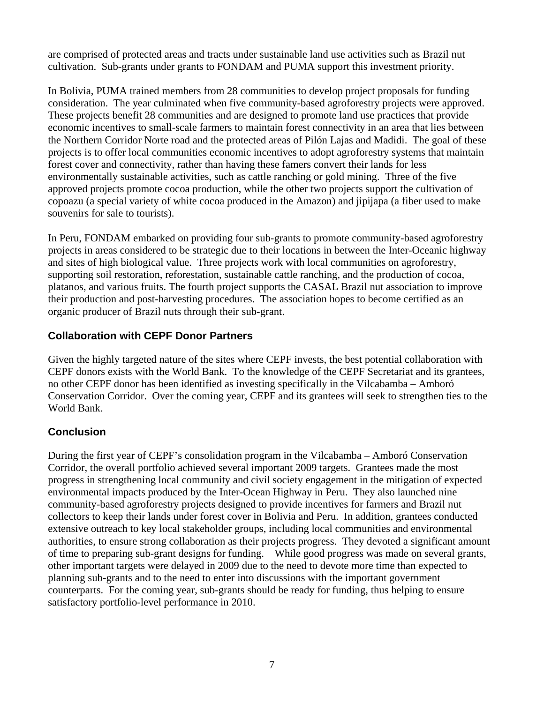are comprised of protected areas and tracts under sustainable land use activities such as Brazil nut cultivation. Sub-grants under grants to FONDAM and PUMA support this investment priority.

In Bolivia, PUMA trained members from 28 communities to develop project proposals for funding consideration. The year culminated when five community-based agroforestry projects were approved. These projects benefit 28 communities and are designed to promote land use practices that provide economic incentives to small-scale farmers to maintain forest connectivity in an area that lies between the Northern Corridor Norte road and the protected areas of Pilón Lajas and Madidi. The goal of these projects is to offer local communities economic incentives to adopt agroforestry systems that maintain forest cover and connectivity, rather than having these famers convert their lands for less environmentally sustainable activities, such as cattle ranching or gold mining. Three of the five approved projects promote cocoa production, while the other two projects support the cultivation of copoazu (a special variety of white cocoa produced in the Amazon) and jipijapa (a fiber used to make souvenirs for sale to tourists).

In Peru, FONDAM embarked on providing four sub-grants to promote community-based agroforestry projects in areas considered to be strategic due to their locations in between the Inter-Oceanic highway and sites of high biological value. Three projects work with local communities on agroforestry, supporting soil restoration, reforestation, sustainable cattle ranching, and the production of cocoa, platanos, and various fruits. The fourth project supports the CASAL Brazil nut association to improve their production and post-harvesting procedures. The association hopes to become certified as an organic producer of Brazil nuts through their sub-grant.

# **Collaboration with CEPF Donor Partners**

Given the highly targeted nature of the sites where CEPF invests, the best potential collaboration with CEPF donors exists with the World Bank. To the knowledge of the CEPF Secretariat and its grantees, no other CEPF donor has been identified as investing specifically in the Vilcabamba – Amboró Conservation Corridor. Over the coming year, CEPF and its grantees will seek to strengthen ties to the World Bank.

# **Conclusion**

During the first year of CEPF's consolidation program in the Vilcabamba – Amboró Conservation Corridor, the overall portfolio achieved several important 2009 targets. Grantees made the most progress in strengthening local community and civil society engagement in the mitigation of expected environmental impacts produced by the Inter-Ocean Highway in Peru. They also launched nine community-based agroforestry projects designed to provide incentives for farmers and Brazil nut collectors to keep their lands under forest cover in Bolivia and Peru. In addition, grantees conducted extensive outreach to key local stakeholder groups, including local communities and environmental authorities, to ensure strong collaboration as their projects progress. They devoted a significant amount of time to preparing sub-grant designs for funding. While good progress was made on several grants, other important targets were delayed in 2009 due to the need to devote more time than expected to planning sub-grants and to the need to enter into discussions with the important government counterparts. For the coming year, sub-grants should be ready for funding, thus helping to ensure satisfactory portfolio-level performance in 2010.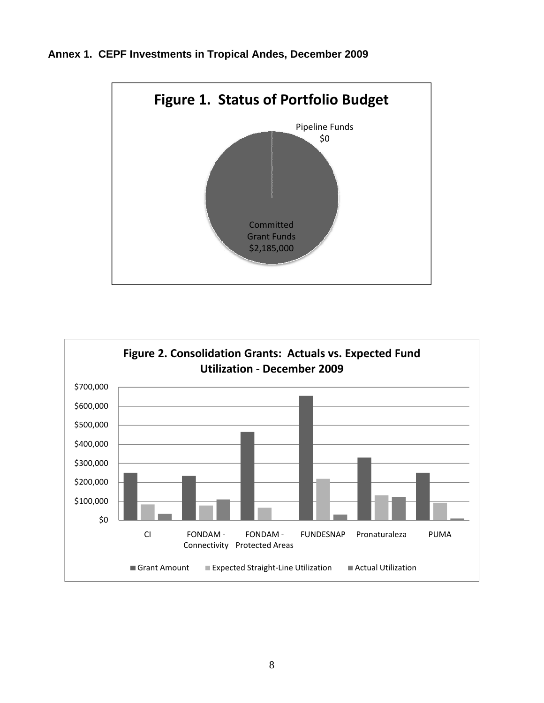



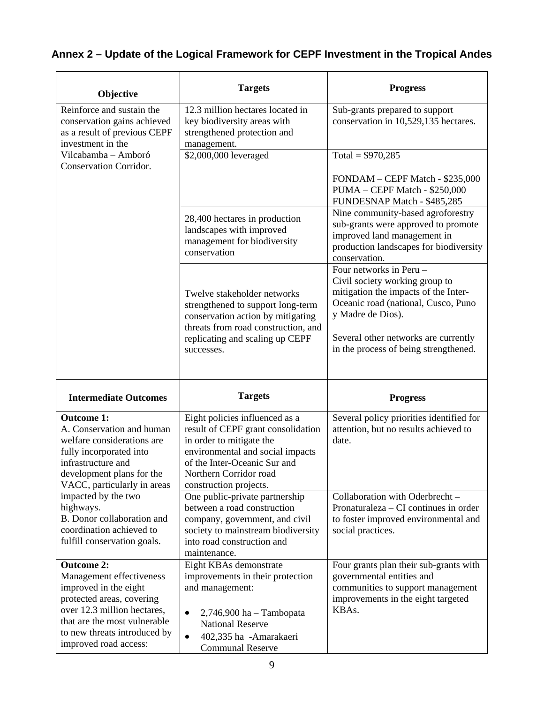# **Annex 2 – Update of the Logical Framework for CEPF Investment in the Tropical Andes**

| Objective                                                                                                                                                                                 | <b>Targets</b>                                                                                                                                                                                                           | <b>Progress</b>                                                                                                                                                                                                                                |
|-------------------------------------------------------------------------------------------------------------------------------------------------------------------------------------------|--------------------------------------------------------------------------------------------------------------------------------------------------------------------------------------------------------------------------|------------------------------------------------------------------------------------------------------------------------------------------------------------------------------------------------------------------------------------------------|
| Reinforce and sustain the<br>conservation gains achieved<br>as a result of previous CEPF<br>investment in the                                                                             | 12.3 million hectares located in<br>key biodiversity areas with<br>strengthened protection and<br>management.                                                                                                            | Sub-grants prepared to support<br>conservation in 10,529,135 hectares.                                                                                                                                                                         |
| Vilcabamba - Amboró<br>Conservation Corridor.                                                                                                                                             | \$2,000,000 leveraged                                                                                                                                                                                                    | Total = $$970,285$<br>FONDAM - CEPF Match - \$235,000<br>PUMA - CEPF Match - \$250,000<br>FUNDESNAP Match - \$485,285                                                                                                                          |
|                                                                                                                                                                                           | 28,400 hectares in production<br>landscapes with improved<br>management for biodiversity<br>conservation                                                                                                                 | Nine community-based agroforestry<br>sub-grants were approved to promote<br>improved land management in<br>production landscapes for biodiversity<br>conservation.                                                                             |
|                                                                                                                                                                                           | Twelve stakeholder networks<br>strengthened to support long-term<br>conservation action by mitigating<br>threats from road construction, and<br>replicating and scaling up CEPF<br>successes.                            | Four networks in Peru -<br>Civil society working group to<br>mitigation the impacts of the Inter-<br>Oceanic road (national, Cusco, Puno<br>y Madre de Dios).<br>Several other networks are currently<br>in the process of being strengthened. |
|                                                                                                                                                                                           |                                                                                                                                                                                                                          |                                                                                                                                                                                                                                                |
| <b>Intermediate Outcomes</b>                                                                                                                                                              | <b>Targets</b>                                                                                                                                                                                                           | <b>Progress</b>                                                                                                                                                                                                                                |
| <b>Outcome 1:</b><br>A. Conservation and human<br>welfare considerations are<br>fully incorporated into<br>infrastructure and<br>development plans for the<br>VACC, particularly in areas | Eight policies influenced as a<br>result of CEPF grant consolidation<br>in order to mitigate the<br>environmental and social impacts<br>of the Inter-Oceanic Sur and<br>Northern Corridor road<br>construction projects. | Several policy priorities identified for<br>attention, but no results achieved to<br>date.                                                                                                                                                     |
| impacted by the two<br>highways.<br>B. Donor collaboration and<br>coordination achieved to<br>fulfill conservation goals.                                                                 | One public-private partnership<br>between a road construction<br>company, government, and civil<br>society to mainstream biodiversity<br>into road construction and<br>maintenance.                                      | Collaboration with Oderbrecht -<br>Pronaturaleza – CI continues in order<br>to foster improved environmental and<br>social practices.                                                                                                          |